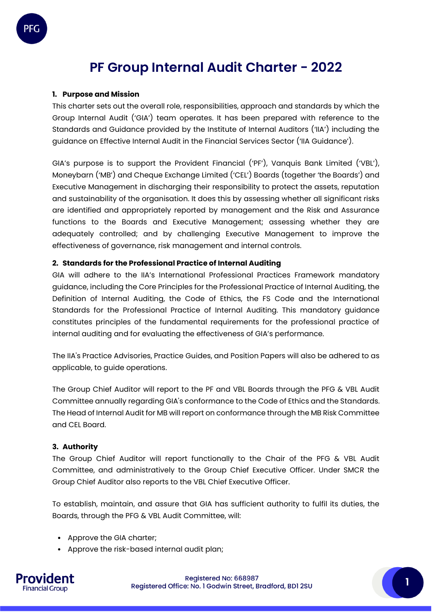# **PF Group Internal Audit Charter - 2022**

## **1. Purpose and Mission**

PFC

This charter sets out the overall role, responsibilities, approach and standards by which the Group Internal Audit ('GIA') team operates. It has been prepared with reference to the Standards and Guidance provided by the Institute of Internal Auditors ('IIA') including the guidance on Effective Internal Audit in the Financial Services Sector ('IIA Guidance').

GIA's purpose is to support the Provident Financial ('PF'), Vanquis Bank Limited ('VBL'), Moneybarn ('MB') and Cheque Exchange Limited ('CEL') Boards (together 'the Boards') and Executive Management in discharging their responsibility to protect the assets, reputation and sustainability of the organisation. It does this by assessing whether all significant risks are identified and appropriately reported by management and the Risk and Assurance functions to the Boards and Executive Management; assessing whether they are adequately controlled; and by challenging Executive Management to improve the effectiveness of governance, risk management and internal controls.

#### **2. Standards for the Professional Practice of Internal Auditing**

GIA will adhere to the IIA's International Professional Practices Framework mandatory guidance, including the Core Principles for the Professional Practice of Internal Auditing, the Definition of Internal Auditing, the Code of Ethics, the FS Code and the International Standards for the Professional Practice of Internal Auditing. This mandatory guidance constitutes principles of the fundamental requirements for the professional practice of internal auditing and for evaluating the effectiveness of GIA's performance.

The IIA's Practice Advisories, Practice Guides, and Position Papers will also be adhered to as applicable, to guide operations.

The Group Chief Auditor will report to the PF and VBL Boards through the PFG & VBL Audit Committee annually regarding GIA's conformance to the Code of Ethics and the Standards. The Head of Internal Audit for MB will report on conformance through the MB Risk Committee and CEL Board.

#### **3. Authority**

The Group Chief Auditor will report functionally to the Chair of the PFG & VBL Audit Committee, and administratively to the Group Chief Executive Officer. Under SMCR the Group Chief Auditor also reports to the VBL Chief Executive Officer.

To establish, maintain, and assure that GIA has sufficient authority to fulfil its duties, the Boards, through the PFG & VBL Audit Committee, will:

- Approve the GIA charter;
- Approve the risk-based internal audit plan;

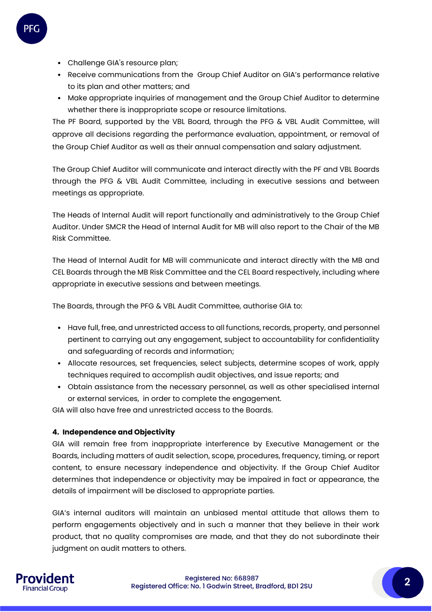

- Challenge GIA's resource plan;
- Receive communications from the Group Chief Auditor on GIA's performance relative to its plan and other matters; and
- Make appropriate inquiries of management and the Group Chief Auditor to determine whether there is inappropriate scope or resource limitations.

The PF Board, supported by the VBL Board, through the PFG & VBL Audit Committee, will approve all decisions regarding the performance evaluation, appointment, or removal of the Group Chief Auditor as well as their annual compensation and salary adjustment.

The Group Chief Auditor will communicate and interact directly with the PF and VBL Boards through the PFG & VBL Audit Committee, including in executive sessions and between meetings as appropriate.

The Heads of Internal Audit will report functionally and administratively to the Group Chief Auditor. Under SMCR the Head of Internal Audit for MB will also report to the Chair of the MB Risk Committee.

The Head of Internal Audit for MB will communicate and interact directly with the MB and CEL Boards through the MB Risk Committee and the CEL Board respectively, including where appropriate in executive sessions and between meetings.

The Boards, through the PFG & VBL Audit Committee, authorise GIA to:

- Have full, free, and unrestricted access to all functions, records, property, and personnel pertinent to carrying out any engagement, subject to accountability for confidentiality and safeguarding of records and information;
- Allocate resources, set frequencies, select subjects, determine scopes of work, apply techniques required to accomplish audit objectives, and issue reports; and
- Obtain assistance from the necessary personnel, as well as other specialised internal or external services, in order to complete the engagement.

GIA will also have free and unrestricted access to the Boards.

#### **4. Independence and Objectivity**

GIA will remain free from inappropriate interference by Executive Management or the Boards, including matters of audit selection, scope, procedures, frequency, timing, or report content, to ensure necessary independence and objectivity. If the Group Chief Auditor determines that independence or objectivity may be impaired in fact or appearance, the details of impairment will be disclosed to appropriate parties.

GIA's internal auditors will maintain an unbiased mental attitude that allows them to perform engagements objectively and in such a manner that they believe in their work product, that no quality compromises are made, and that they do not subordinate their judgment on audit matters to others.

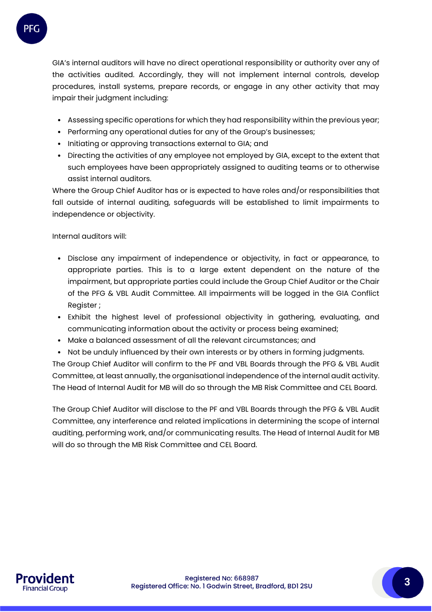

GIA's internal auditors will have no direct operational responsibility or authority over any of the activities audited. Accordingly, they will not implement internal controls, develop procedures, install systems, prepare records, or engage in any other activity that may impair their judgment including:

- Assessing specific operations for which they had responsibility within the previous year;
- Performing any operational duties for any of the Group's businesses;
- Initiating or approving transactions external to GIA; and
- Directing the activities of any employee not employed by GIA, except to the extent that such employees have been appropriately assigned to auditing teams or to otherwise assist internal auditors.

Where the Group Chief Auditor has or is expected to have roles and/or responsibilities that fall outside of internal auditing, safeguards will be established to limit impairments to independence or objectivity.

Internal auditors will:

- Disclose any impairment of independence or objectivity, in fact or appearance, to appropriate parties. This is to a large extent dependent on the nature of the impairment, but appropriate parties could include the Group Chief Auditor or the Chair of the PFG & VBL Audit Committee. All impairments will be logged in the GIA Conflict Register ;
- Exhibit the highest level of professional objectivity in gathering, evaluating, and communicating information about the activity or process being examined;
- Make a balanced assessment of all the relevant circumstances; and
- Not be unduly influenced by their own interests or by others in forming judgments.

The Group Chief Auditor will confirm to the PF and VBL Boards through the PFG & VBL Audit Committee, at least annually, the organisational independence of the internal audit activity. The Head of Internal Audit for MB will do so through the MB Risk Committee and CEL Board.

The Group Chief Auditor will disclose to the PF and VBL Boards through the PFG & VBL Audit Committee, any interference and related implications in determining the scope of internal auditing, performing work, and/or communicating results. The Head of Internal Audit for MB will do so through the MB Risk Committee and CEL Board.

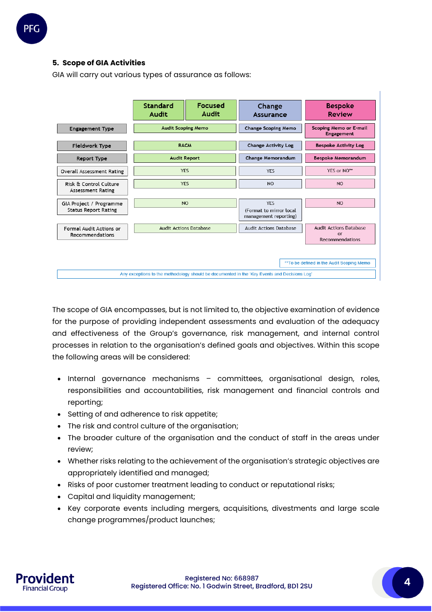# **5. Scope of GIA Activities**

GIA will carry out various types of assurance as follows:



The scope of GIA encompasses, but is not limited to, the objective examination of evidence for the purpose of providing independent assessments and evaluation of the adequacy and effectiveness of the Group's governance, risk management, and internal control processes in relation to the organisation's defined goals and objectives. Within this scope the following areas will be considered:

- Internal governance mechanisms committees, organisational design, roles, responsibilities and accountabilities, risk management and financial controls and reporting;
- Setting of and adherence to risk appetite;
- The risk and control culture of the organisation;
- The broader culture of the organisation and the conduct of staff in the areas under review;
- Whether risks relating to the achievement of the organisation's strategic objectives are appropriately identified and managed;
- Risks of poor customer treatment leading to conduct or reputational risks;
- Capital and liquidity management;
- Key corporate events including mergers, acquisitions, divestments and large scale change programmes/product launches;

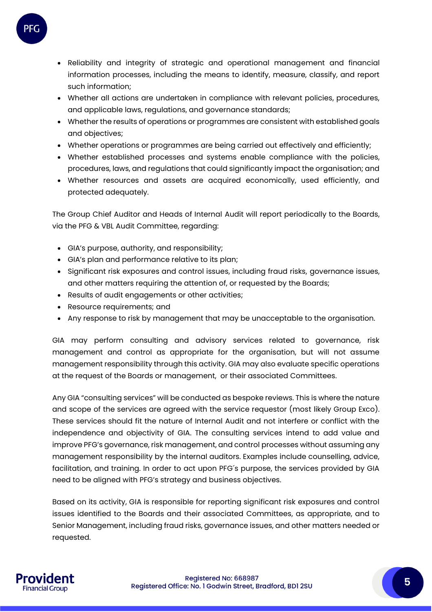

- Reliability and integrity of strategic and operational management and financial information processes, including the means to identify, measure, classify, and report such information;
- Whether all actions are undertaken in compliance with relevant policies, procedures, and applicable laws, regulations, and governance standards;
- Whether the results of operations or programmes are consistent with established goals and objectives;
- Whether operations or programmes are being carried out effectively and efficiently;
- Whether established processes and systems enable compliance with the policies, procedures, laws, and regulations that could significantly impact the organisation; and
- Whether resources and assets are acquired economically, used efficiently, and protected adequately.

The Group Chief Auditor and Heads of Internal Audit will report periodically to the Boards, via the PFG & VBL Audit Committee, regarding:

- GIA's purpose, authority, and responsibility;
- GIA's plan and performance relative to its plan;
- Significant risk exposures and control issues, including fraud risks, governance issues, and other matters requiring the attention of, or requested by the Boards;
- Results of audit engagements or other activities;
- Resource requirements; and
- Any response to risk by management that may be unacceptable to the organisation.

GIA may perform consulting and advisory services related to governance, risk management and control as appropriate for the organisation, but will not assume management responsibility through this activity. GIA may also evaluate specific operations at the request of the Boards or management, or their associated Committees.

Any GIA "consulting services" will be conducted as bespoke reviews. This is where the nature and scope of the services are agreed with the service requestor (most likely Group Exco). These services should fit the nature of Internal Audit and not interfere or conflict with the independence and objectivity of GIA. The consulting services intend to add value and improve PFG's governance, risk management, and control processes without assuming any management responsibility by the internal auditors. Examples include counselling, advice, facilitation, and training. In order to act upon PFG´s purpose, the services provided by GIA need to be aligned with PFG's strategy and business objectives.

Based on its activity, GIA is responsible for reporting significant risk exposures and control issues identified to the Boards and their associated Committees, as appropriate, and to Senior Management, including fraud risks, governance issues, and other matters needed or requested.

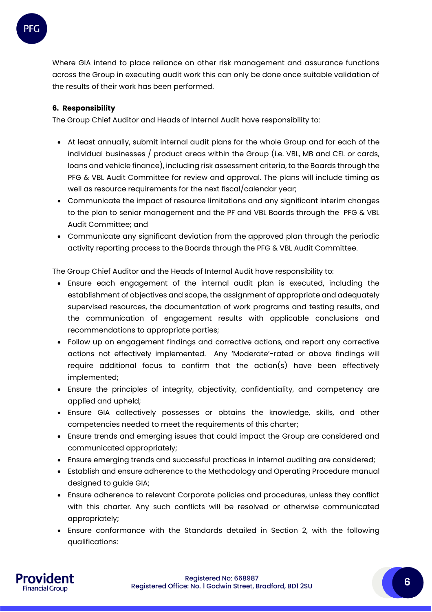

Where GIA intend to place reliance on other risk management and assurance functions across the Group in executing audit work this can only be done once suitable validation of the results of their work has been performed.

# **6. Responsibility**

The Group Chief Auditor and Heads of Internal Audit have responsibility to:

- At least annually, submit internal audit plans for the whole Group and for each of the individual businesses / product areas within the Group (i.e. VBL, MB and CEL or cards, loans and vehicle finance), including risk assessment criteria, to the Boards through the PFG & VBL Audit Committee for review and approval. The plans will include timing as well as resource requirements for the next fiscal/calendar year;
- Communicate the impact of resource limitations and any significant interim changes to the plan to senior management and the PF and VBL Boards through the PFG & VBL Audit Committee; and
- Communicate any significant deviation from the approved plan through the periodic activity reporting process to the Boards through the PFG & VBL Audit Committee.

The Group Chief Auditor and the Heads of Internal Audit have responsibility to:

- Ensure each engagement of the internal audit plan is executed, including the establishment of objectives and scope, the assignment of appropriate and adequately supervised resources, the documentation of work programs and testing results, and the communication of engagement results with applicable conclusions and recommendations to appropriate parties;
- Follow up on engagement findings and corrective actions, and report any corrective actions not effectively implemented. Any 'Moderate'-rated or above findings will require additional focus to confirm that the action(s) have been effectively implemented;
- Ensure the principles of integrity, objectivity, confidentiality, and competency are applied and upheld;
- Ensure GIA collectively possesses or obtains the knowledge, skills, and other competencies needed to meet the requirements of this charter;
- Ensure trends and emerging issues that could impact the Group are considered and communicated appropriately;
- Ensure emerging trends and successful practices in internal auditing are considered;
- Establish and ensure adherence to the Methodology and Operating Procedure manual designed to guide GIA;
- Ensure adherence to relevant Corporate policies and procedures, unless they conflict with this charter. Any such conflicts will be resolved or otherwise communicated appropriately;
- Ensure conformance with the Standards detailed in Section 2, with the following qualifications: